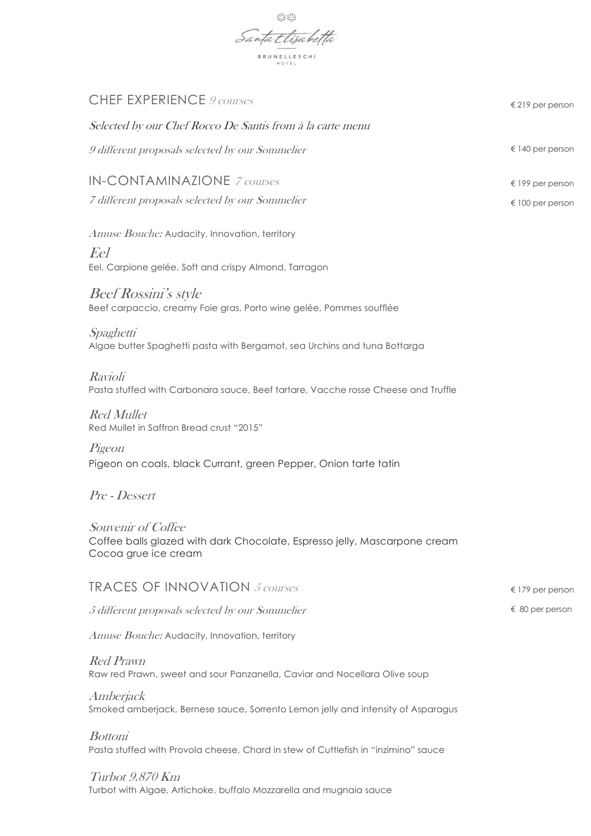

| CHEF EXPERIENCE 9 courses                                                                                               | $\epsilon$ 219 per person |
|-------------------------------------------------------------------------------------------------------------------------|---------------------------|
| Selected by our Chef Rocco De Santis from à la carte menu                                                               |                           |
| 9 different proposals selected by our Sommelier                                                                         | $\epsilon$ 140 per person |
| <b>IN-CONTAMINAZIONE</b> 7 courses                                                                                      | $\epsilon$ 199 per person |
| 7 different proposals selected by our Sommelier                                                                         | $\epsilon$ 100 per person |
| Amuse Bouche: Audacity, Innovation, territory                                                                           |                           |
| Eel<br>Eel, Carpione gelée. Soft and crispy Almond, Tarragon                                                            |                           |
| <b>Beef Rossini's style</b><br>Beef carpaccio, creamy Foie gras, Porto wine gelée, Pommes soufflée                      |                           |
| Spaghetti<br>Algae butter Spaghetti pasta with Bergamot, sea Urchins and tuna Bottarga                                  |                           |
| Ravioli<br>Pasta stuffed with Carbonara sauce, Beef tartare, Vacche rosse Cheese and Truffle                            |                           |
| <b>Red Mullet</b><br>Red Mullet in Saffron Bread crust "2015"                                                           |                           |
| Pigeon<br>Pigeon on coals, black Currant, green Pepper, Onion tarte tatin                                               |                           |
| Pre - Dessert                                                                                                           |                           |
| Souvenir of Coffee<br>Coffee balls glazed with dark Chocolate, Espresso jelly, Mascarpone cream<br>Cocoa grue ice cream |                           |
| <b>TRACES OF INNOVATION</b> 5 courses                                                                                   | $\epsilon$ 179 per person |
| 5 different proposals selected by our Sommelier                                                                         | $\epsilon$ 80 per person  |
| Amuse Bouche: Audacity, Innovation, territory                                                                           |                           |
| <b>Red Prawn</b><br>Raw red Prawn, sweet and sour Panzanella, Caviar and Nocellara Olive soup                           |                           |
| Amberjack<br>Smoked amberjack, Bernese sauce, Sorrento Lemon jelly and intensity of Asparagus                           |                           |
| <b>Bottoni</b><br>Pasta stuffed with Provola cheese, Chard in stew of Cuttlefish in "inzimino" sauce                    |                           |

Turbot 9.870 Km Turbot with Algae, Artichoke, buffalo Mozzarella and mugnaia sauce